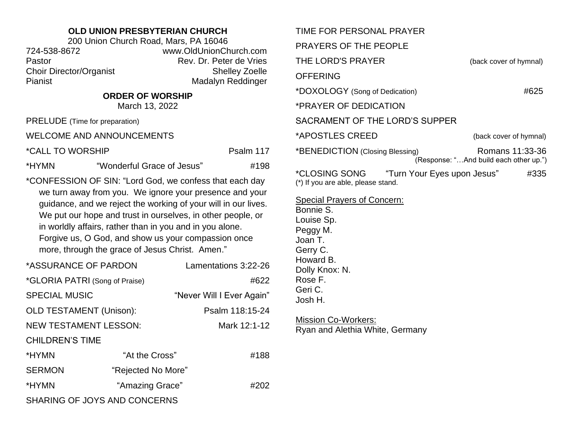## **OLD UNION PRESBYTERIAN CHURCH**

200 Union Church Road, Mars, PA 16046 724-538-8672 www.OldUnionChurch.com Pastor **Rev. Dr. Peter de Vries** Choir Director/Organist Shelley Zoelle Pianist Madalyn Reddinger

## **ORDER OF WORSHIP**

March 13, 2022

PRELUDE (Time for preparation)

WELCOME AND ANNOUNCEMENTS

\*CALL TO WORSHIP PSALM 117

\*HYMN "Wonderful Grace of Jesus" #198

\*CONFESSION OF SIN: "Lord God, we confess that each day we turn away from you. We ignore your presence and your guidance, and we reject the working of your will in our lives. We put our hope and trust in ourselves, in other people, or in worldly affairs, rather than in you and in you alone. Forgive us, O God, and show us your compassion once more, through the grace of Jesus Christ. Amen."

| *ASSURANCE OF PARDON           |                    | Lamentations 3:22-26      |  |  |
|--------------------------------|--------------------|---------------------------|--|--|
| *GLORIA PATRI (Song of Praise) |                    | #622                      |  |  |
| <b>SPECIAL MUSIC</b>           |                    | "Never Will I Ever Again" |  |  |
| <b>OLD TESTAMENT (Unison):</b> |                    | Psalm 118:15-24           |  |  |
| <b>NEW TESTAMENT LESSON:</b>   |                    | Mark 12:1-12              |  |  |
| <b>CHILDREN'S TIME</b>         |                    |                           |  |  |
| *HYMN                          | "At the Cross"     | #188                      |  |  |
| <b>SERMON</b>                  | "Rejected No More" |                           |  |  |
| *HYMN                          | "Amazing Grace"    | #202                      |  |  |
| SHARING OF JOYS AND CONCERNS   |                    |                           |  |  |

|                                 | TIME FOR PERSONAL PRAYER                            |                                                           |      |  |  |
|---------------------------------|-----------------------------------------------------|-----------------------------------------------------------|------|--|--|
|                                 | <b>PRAYERS OF THE PEOPLE</b>                        |                                                           |      |  |  |
| THE LORD'S PRAYER               |                                                     | (back cover of hymnal)                                    |      |  |  |
| <b>OFFERING</b>                 |                                                     |                                                           |      |  |  |
| *DOXOLOGY (Song of Dedication)  |                                                     | #625                                                      |      |  |  |
|                                 | *PRAYER OF DEDICATION                               |                                                           |      |  |  |
| SACRAMENT OF THE LORD'S SUPPER  |                                                     |                                                           |      |  |  |
| *APOSTLES CREED                 |                                                     | (back cover of hymnal)                                    |      |  |  |
| *BENEDICTION (Closing Blessing) |                                                     | Romans 11:33-36<br>(Response: "And build each other up.") |      |  |  |
|                                 | *CLOSING SONG<br>(*) If you are able, please stand. | "Turn Your Eyes upon Jesus"                               | #335 |  |  |
|                                 | Spocial Dravers of Concerni                         |                                                           |      |  |  |

Special Prayers of Concern: Bonnie S. Louise Sp. Peggy M. Joan T. Gerry C. Howard B. Dolly Knox: N. Rose F. Geri C.

Josh H.

Mission Co-Workers:

Ryan and Alethia White, Germany